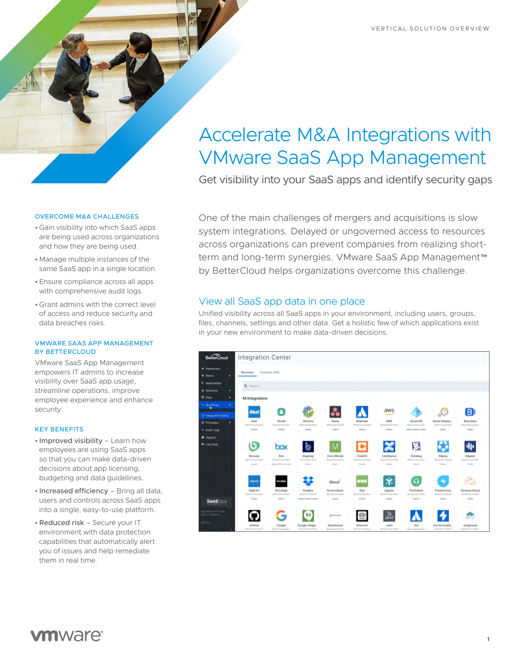# Accelerate M&A Integrations with VMware SaaS App Management

Get visibility into your SaaS apps and identify security gaps

One of the main challenges of mergers and acquisitions is slow system integrations. Delayed or ungoverned access to resources across organizations can prevent companies from realizing shortterm and long-term synergies. VMware SaaS App Management™ by BetterCloud helps organizations overcome this challenge.

## View all SaaS app data in one place

Unified visibility across all SaaS apps in your environment, including users, groups, files, channels, settings and other data. Get a holistic few of which applications exist in your new environment to make data-driven decisions.



#### OVERCOME M&A CHALLENGES

- Gain visibility into which SaaS apps are being used across organizations and how they are being used.
- Manage multiple instances of the same SaaS app in a single location.
- Ensure compliance across all apps with comprehensive audit logs.
- Grant admins with the correct level of access and reduce security and data breaches risks.

#### VMWARE SAAS APP MANAGEMENT BY BETTERCLOUD

VMware SaaS App Management empowers IT admins to increase visibility over SaaS app usage, streamline operations, improve employee experience and enhance security.

#### KEY BENEFITS

- Improved visibility Learn how employees are using SaaS apps so that you can make data-driven decisions about app licensing. budgeting and data guidelines.
- Increased efficiency Bring all data, users and controls across SaaS apps into a single, easy-to-use platform.
- •Reduced risk Secure your IT environment with data protection capabilities that automatically alert you of issues and help remediate them in real time.